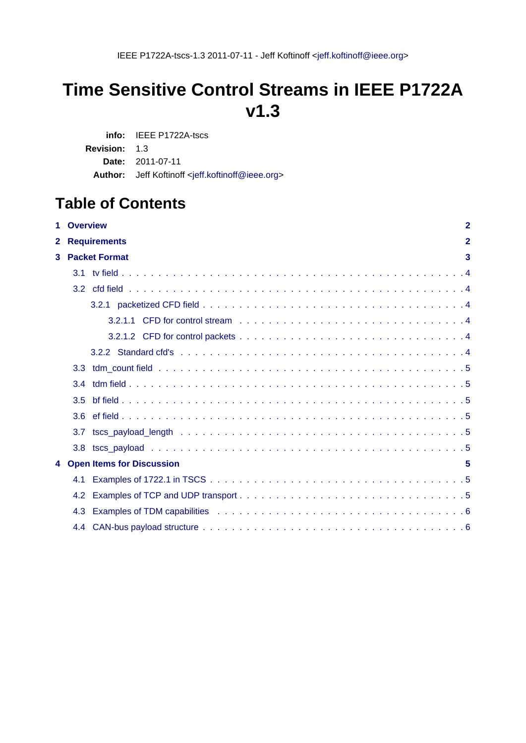# **Time Sensitive Control Streams in IEEE P1722A v1.3**

**info:** IEEE P1722A-tscs **Revision:** 1.3 **Date:** 2011-07-11 Author: Jeff Koftinoff <[jeff.koftinoff@ieee.org](mailto:jeff.koftinoff@ieee.org)>

# **Table of Contents**

| 1.           | <b>Overview</b><br>$\mathbf{2}$ |                             |                |
|--------------|---------------------------------|-----------------------------|----------------|
| $\mathbf{2}$ |                                 | <b>Requirements</b>         | $\overline{2}$ |
| 3            |                                 | <b>Packet Format</b>        | 3              |
|              | 3.1                             |                             |                |
|              |                                 |                             |                |
|              |                                 |                             |                |
|              |                                 |                             |                |
|              |                                 |                             |                |
|              |                                 |                             |                |
|              | 3.3 <sub>2</sub>                |                             |                |
|              | 3.4                             |                             |                |
|              | 3.5                             |                             |                |
|              | 3.6                             |                             |                |
|              | 3.7                             |                             |                |
|              | 3.8                             |                             |                |
|              |                                 | 4 Open Items for Discussion | 5              |
|              | 4.1                             |                             |                |
|              | 4.2                             |                             |                |
|              | 4.3                             |                             |                |
|              |                                 |                             |                |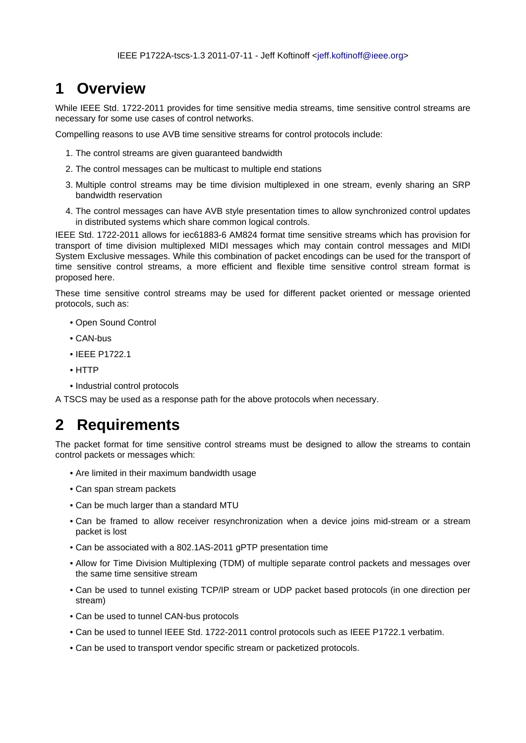# **1 Overview**

While IEEE Std. 1722-2011 provides for time sensitive media streams, time sensitive control streams are necessary for some use cases of control networks.

Compelling reasons to use AVB time sensitive streams for control protocols include:

- 1. The control streams are given guaranteed bandwidth
- 2. The control messages can be multicast to multiple end stations
- 3. Multiple control streams may be time division multiplexed in one stream, evenly sharing an SRP bandwidth reservation
- 4. The control messages can have AVB style presentation times to allow synchronized control updates in distributed systems which share common logical controls.

IEEE Std. 1722-2011 allows for iec61883-6 AM824 format time sensitive streams which has provision for transport of time division multiplexed MIDI messages which may contain control messages and MIDI System Exclusive messages. While this combination of packet encodings can be used for the transport of time sensitive control streams, a more efficient and flexible time sensitive control stream format is proposed here.

These time sensitive control streams may be used for different packet oriented or message oriented protocols, such as:

- Open Sound Control
- CAN-bus
- IEEE P1722.1
- HTTP
- Industrial control protocols

A TSCS may be used as a response path for the above protocols when necessary.

# **2 Requirements**

The packet format for time sensitive control streams must be designed to allow the streams to contain control packets or messages which:

- Are limited in their maximum bandwidth usage
- Can span stream packets
- Can be much larger than a standard MTU
- Can be framed to allow receiver resynchronization when a device joins mid-stream or a stream packet is lost
- Can be associated with a 802.1AS-2011 gPTP presentation time
- Allow for Time Division Multiplexing (TDM) of multiple separate control packets and messages over the same time sensitive stream
- Can be used to tunnel existing TCP/IP stream or UDP packet based protocols (in one direction per stream)
- Can be used to tunnel CAN-bus protocols
- Can be used to tunnel IEEE Std. 1722-2011 control protocols such as IEEE P1722.1 verbatim.
- Can be used to transport vendor specific stream or packetized protocols.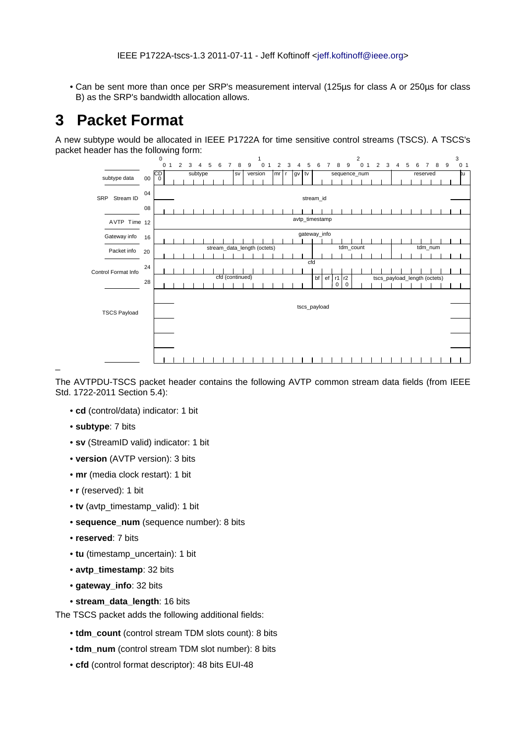• Can be sent more than once per SRP's measurement interval (125µs for class A or 250µs for class B) as the SRP's bandwidth allocation allows.

# **3 Packet Format**

A new subtype would be allocated in IEEE P1722A for time sensitive control streams (TSCS). A TSCS's packet header has the following form:



The AVTPDU-TSCS packet header contains the following AVTP common stream data fields (from IEEE Std. 1722-2011 Section 5.4):

- **cd** (control/data) indicator: 1 bit
- **subtype**: 7 bits

\_

- **sv** (StreamID valid) indicator: 1 bit
- **version** (AVTP version): 3 bits
- **mr** (media clock restart): 1 bit
- **r** (reserved): 1 bit
- **tv** (avtp\_timestamp\_valid): 1 bit
- **sequence\_num** (sequence number): 8 bits
- **reserved**: 7 bits
- **tu** (timestamp\_uncertain): 1 bit
- **avtp\_timestamp**: 32 bits
- **gateway\_info**: 32 bits
- **stream\_data\_length**: 16 bits

The TSCS packet adds the following additional fields:

- **tdm\_count** (control stream TDM slots count): 8 bits
- **tdm\_num** (control stream TDM slot number): 8 bits
- **cfd** (control format descriptor): 48 bits EUI-48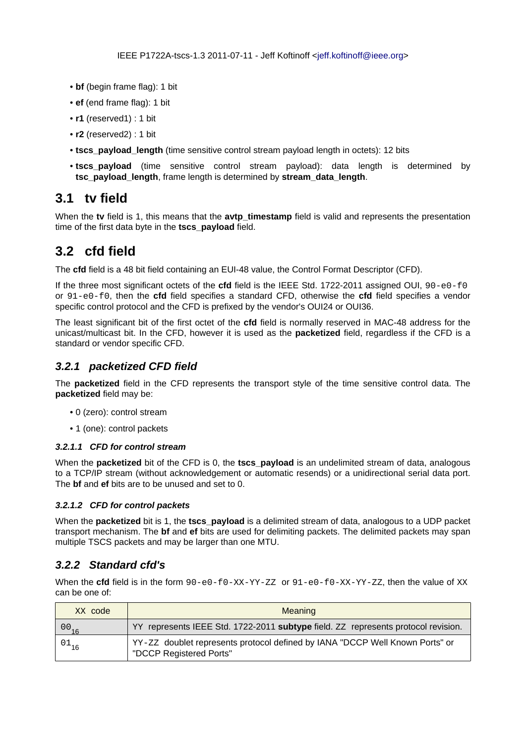- **bf** (begin frame flag): 1 bit
- **ef** (end frame flag): 1 bit
- **r1** (reserved1) : 1 bit
- **r2** (reserved2) : 1 bit
- **tscs\_payload\_length** (time sensitive control stream payload length in octets): 12 bits
- **tscs\_payload** (time sensitive control stream payload): data length is determined by **tsc\_payload\_length**, frame length is determined by **stream\_data\_length**.

### **3.1 tv field**

When the **tv** field is 1, this means that the **avtp\_timestamp** field is valid and represents the presentation time of the first data byte in the **tscs\_payload** field.

## **3.2 cfd field**

The **cfd** field is a 48 bit field containing an EUI-48 value, the Control Format Descriptor (CFD).

If the three most significant octets of the **cfd** field is the IEEE Std. 1722-2011 assigned OUI, 90-e0-f0 or 91-e0-f0, then the **cfd** field specifies a standard CFD, otherwise the **cfd** field specifies a vendor specific control protocol and the CFD is prefixed by the vendor's OUI24 or OUI36.

The least significant bit of the first octet of the **cfd** field is normally reserved in MAC-48 address for the unicast/multicast bit. In the CFD, however it is used as the **packetized** field, regardless if the CFD is a standard or vendor specific CFD.

#### **3.2.1 packetized CFD field**

The **packetized** field in the CFD represents the transport style of the time sensitive control data. The **packetized** field may be:

- 0 (zero): control stream
- 1 (one): control packets

#### **3.2.1.1 CFD for control stream**

When the **packetized** bit of the CFD is 0, the **tscs payload** is an undelimited stream of data, analogous to a TCP/IP stream (without acknowledgement or automatic resends) or a unidirectional serial data port. The **bf** and **ef** bits are to be unused and set to 0.

#### **3.2.1.2 CFD for control packets**

When the **packetized** bit is 1, the **tscs\_payload** is a delimited stream of data, analogous to a UDP packet transport mechanism. The **bf** and **ef** bits are used for delimiting packets. The delimited packets may span multiple TSCS packets and may be larger than one MTU.

#### **3.2.2 Standard cfd's**

When the **cfd** field is in the form  $90-e0-f0-XX-YY-ZZ$  or  $91-e0-f0-XX-YY-ZZ$ , then the value of XX can be one of:

| XX code       | Meaning                                                                                                 |
|---------------|---------------------------------------------------------------------------------------------------------|
| $^{00}_{-16}$ | YY represents IEEE Std. 1722-2011 subtype field. ZZ represents protocol revision.                       |
| $^{01}$ 16    | YY-ZZ doublet represents protocol defined by IANA "DCCP Well Known Ports" or<br>"DCCP Registered Ports" |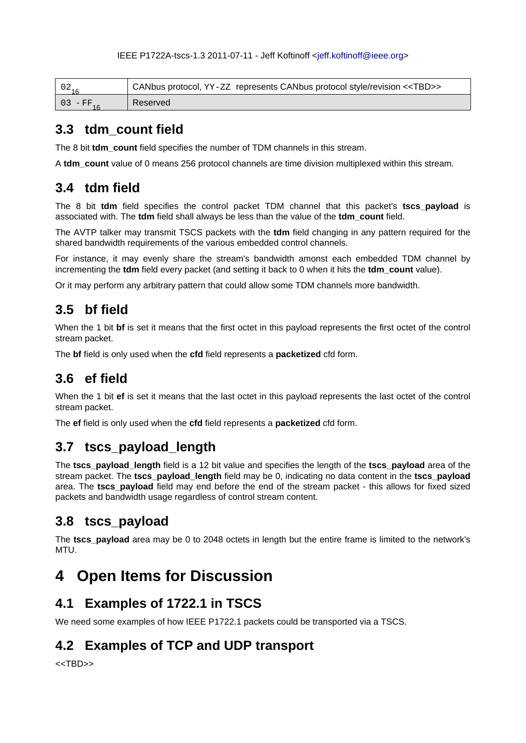#### IEEE P1722A-tscs-1.3 2011-07-11 - Jeff Koftinoff [<jeff.koftinoff@ieee.org>](mailto:jeff.koftinoff@ieee.org)

|          | CANbus protocol, YY-ZZ represents CANbus protocol style/revision < <tbd>&gt;</tbd> |
|----------|------------------------------------------------------------------------------------|
| 03 - FF. | Reserved                                                                           |

### **3.3 tdm\_count field**

The 8 bit **tdm\_count** field specifies the number of TDM channels in this stream.

A **tdm\_count** value of 0 means 256 protocol channels are time division multiplexed within this stream.

### **3.4 tdm field**

The 8 bit **tdm** field specifies the control packet TDM channel that this packet's **tscs\_payload** is associated with. The **tdm** field shall always be less than the value of the **tdm\_count** field.

The AVTP talker may transmit TSCS packets with the **tdm** field changing in any pattern required for the shared bandwidth requirements of the various embedded control channels.

For instance, it may evenly share the stream's bandwidth amonst each embedded TDM channel by incrementing the **tdm** field every packet (and setting it back to 0 when it hits the **tdm\_count** value).

Or it may perform any arbitrary pattern that could allow some TDM channels more bandwidth.

## **3.5 bf field**

When the 1 bit **bf** is set it means that the first octet in this payload represents the first octet of the control stream packet.

The **bf** field is only used when the **cfd** field represents a **packetized** cfd form.

# **3.6 ef field**

When the 1 bit **ef** is set it means that the last octet in this payload represents the last octet of the control stream packet.

The **ef** field is only used when the **cfd** field represents a **packetized** cfd form.

## **3.7 tscs\_payload\_length**

The **tscs\_payload\_length** field is a 12 bit value and specifies the length of the **tscs\_payload** area of the stream packet. The **tscs\_payload\_length** field may be 0, indicating no data content in the **tscs\_payload** area. The **tscs\_payload** field may end before the end of the stream packet - this allows for fixed sized packets and bandwidth usage regardless of control stream content.

## **3.8 tscs\_payload**

The **tscs payload** area may be 0 to 2048 octets in length but the entire frame is limited to the network's MTU.

# **4 Open Items for Discussion**

## **4.1 Examples of 1722.1 in TSCS**

We need some examples of how IEEE P1722.1 packets could be transported via a TSCS.

## **4.2 Examples of TCP and UDP transport**

<<TBD>>